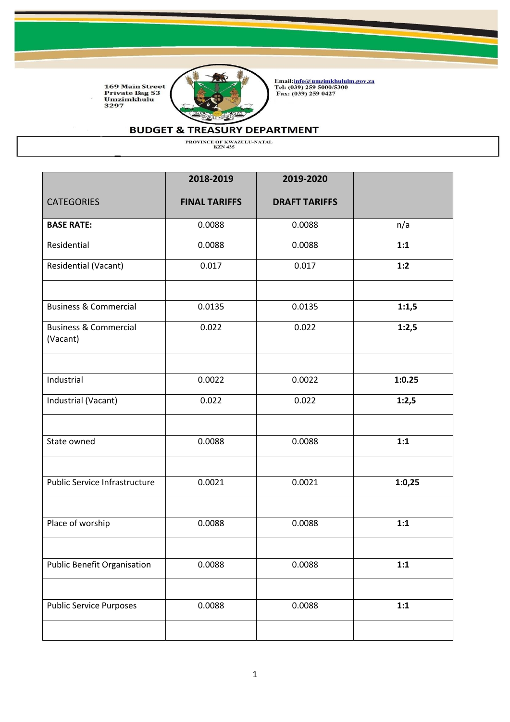

Email:<u>info@umzimkhululm.gov.za</u><br>Tel: (039) 259 5000/5300<br>Fax: (039) 259 0427

### **BUDGET & TREASURY DEPARTMENT**

|                                              | 2018-2019            | 2019-2020            |        |
|----------------------------------------------|----------------------|----------------------|--------|
| <b>CATEGORIES</b>                            | <b>FINAL TARIFFS</b> | <b>DRAFT TARIFFS</b> |        |
| <b>BASE RATE:</b>                            | 0.0088               | 0.0088               | n/a    |
| Residential                                  | 0.0088               | 0.0088               | 1:1    |
| Residential (Vacant)                         | 0.017                | 0.017                | 1:2    |
| <b>Business &amp; Commercial</b>             | 0.0135               | 0.0135               | 1:1,5  |
| <b>Business &amp; Commercial</b><br>(Vacant) | 0.022                | 0.022                | 1:2,5  |
| Industrial                                   | 0.0022               | 0.0022               | 1:0.25 |
| Industrial (Vacant)                          | 0.022                | 0.022                | 1:2,5  |
| State owned                                  | 0.0088               | 0.0088               | 1:1    |
| <b>Public Service Infrastructure</b>         | 0.0021               | 0.0021               | 1:0,25 |
| Place of worship                             | 0.0088               | 0.0088               | 1:1    |
| <b>Public Benefit Organisation</b>           | 0.0088               | 0.0088               | 1:1    |
| <b>Public Service Purposes</b>               | 0.0088               | 0.0088               | 1:1    |
|                                              |                      |                      |        |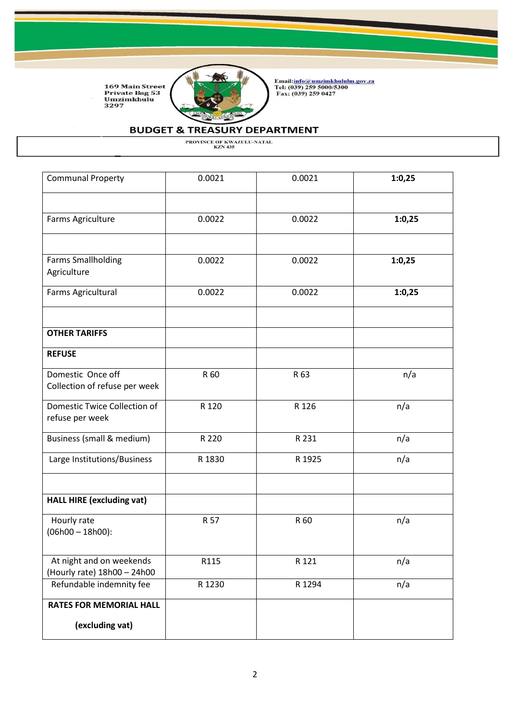

Email:<u>info@umzimkhululm.gov.za</u><br>Tel: (039) 259 5000/5300<br>Fax: (039) 259 0427

# **BUDGET & TREASURY DEPARTMENT**

| <b>Communal Property</b>                                | 0.0021 | 0.0021 | 1:0,25 |
|---------------------------------------------------------|--------|--------|--------|
|                                                         |        |        |        |
| Farms Agriculture                                       | 0.0022 | 0.0022 | 1:0,25 |
|                                                         |        |        |        |
| <b>Farms Smallholding</b><br>Agriculture                | 0.0022 | 0.0022 | 1:0,25 |
| Farms Agricultural                                      | 0.0022 | 0.0022 | 1:0,25 |
| <b>OTHER TARIFFS</b>                                    |        |        |        |
| <b>REFUSE</b>                                           |        |        |        |
| Domestic Once off<br>Collection of refuse per week      | R 60   | R 63   | n/a    |
| Domestic Twice Collection of<br>refuse per week         | R 120  | R 126  | n/a    |
| Business (small & medium)                               | R 220  | R 231  | n/a    |
| Large Institutions/Business                             | R 1830 | R 1925 | n/a    |
| <b>HALL HIRE (excluding vat)</b>                        |        |        |        |
| Hourly rate<br>$(06h00 - 18h00)$ :                      | R 57   | R 60   | n/a    |
| At night and on weekends<br>(Hourly rate) 18h00 - 24h00 | R115   | R 121  | n/a    |
| Refundable indemnity fee                                | R 1230 | R 1294 | n/a    |
| <b>RATES FOR MEMORIAL HALL</b>                          |        |        |        |
| (excluding vat)                                         |        |        |        |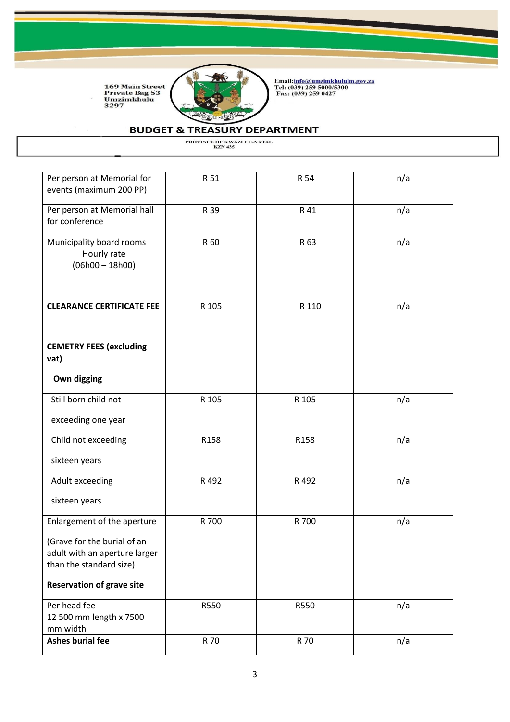

Email:<u>info@umzimkhululm.gov.za</u><br>Tel: (039) 259 5000/5300<br>Fax: (039) 259 0427

# **BUDGET & TREASURY DEPARTMENT**

| Per person at Memorial for<br>events (maximum 200 PP)                                   | R 51  | R 54  | n/a |
|-----------------------------------------------------------------------------------------|-------|-------|-----|
| Per person at Memorial hall<br>for conference                                           | R 39  | R 41  | n/a |
| Municipality board rooms<br>Hourly rate<br>$(06h00 - 18h00)$                            | R 60  | R 63  | n/a |
| <b>CLEARANCE CERTIFICATE FEE</b>                                                        | R 105 | R 110 | n/a |
| <b>CEMETRY FEES (excluding</b><br>vat)                                                  |       |       |     |
| Own digging                                                                             |       |       |     |
| Still born child not                                                                    | R 105 | R 105 | n/a |
| exceeding one year                                                                      |       |       |     |
| Child not exceeding                                                                     | R158  | R158  | n/a |
| sixteen years                                                                           |       |       |     |
| Adult exceeding                                                                         | R 492 | R 492 | n/a |
| sixteen years                                                                           |       |       |     |
| Enlargement of the aperture                                                             | R 700 | R 700 | n/a |
| (Grave for the burial of an<br>adult with an aperture larger<br>than the standard size) |       |       |     |
| <b>Reservation of grave site</b>                                                        |       |       |     |
| Per head fee<br>12 500 mm length x 7500<br>mm width                                     | R550  | R550  | n/a |
| <b>Ashes burial fee</b>                                                                 | R 70  | R 70  | n/a |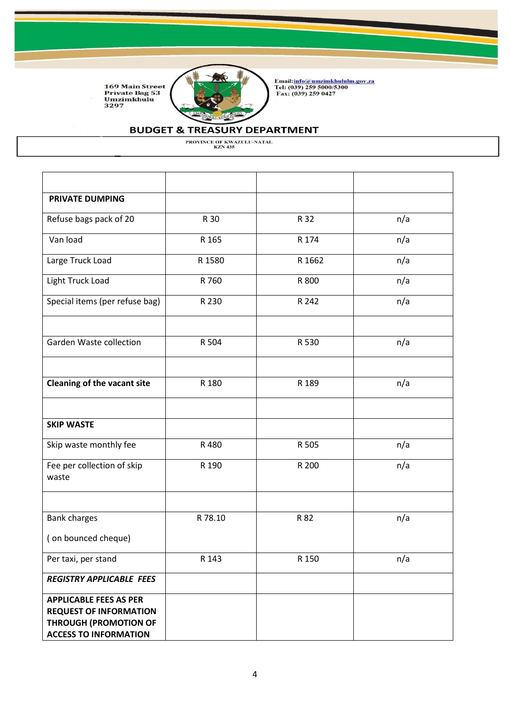

Email:<u>info@umzimkhululm.gov.za</u><br>Tel: (039) 259 5000/5300<br>Fax: (039) 259 0427

## **BUDGET & TREASURY DEPARTMENT**

| <b>PRIVATE DUMPING</b>                                                                                                         |         |        |     |
|--------------------------------------------------------------------------------------------------------------------------------|---------|--------|-----|
| Refuse bags pack of 20                                                                                                         | R 30    | R 32   | n/a |
| Van load                                                                                                                       | R 165   | R 174  | n/a |
| Large Truck Load                                                                                                               | R 1580  | R 1662 | n/a |
| Light Truck Load                                                                                                               | R 760   | R 800  | n/a |
| Special items (per refuse bag)                                                                                                 | R 230   | R 242  | n/a |
|                                                                                                                                |         |        |     |
| Garden Waste collection                                                                                                        | R 504   | R 530  | n/a |
|                                                                                                                                |         |        |     |
| <b>Cleaning of the vacant site</b>                                                                                             | R 180   | R 189  | n/a |
|                                                                                                                                |         |        |     |
| <b>SKIP WASTE</b>                                                                                                              |         |        |     |
| Skip waste monthly fee                                                                                                         | R 480   | R 505  | n/a |
| Fee per collection of skip<br>waste                                                                                            | R 190   | R 200  | n/a |
|                                                                                                                                |         |        |     |
| <b>Bank charges</b>                                                                                                            | R 78.10 | R 82   | n/a |
| (on bounced cheque)                                                                                                            |         |        |     |
| Per taxi, per stand                                                                                                            | R 143   | R 150  | n/a |
| <b>REGISTRY APPLICABLE FEES</b>                                                                                                |         |        |     |
| <b>APPLICABLE FEES AS PER</b><br><b>REQUEST OF INFORMATION</b><br><b>THROUGH (PROMOTION OF</b><br><b>ACCESS TO INFORMATION</b> |         |        |     |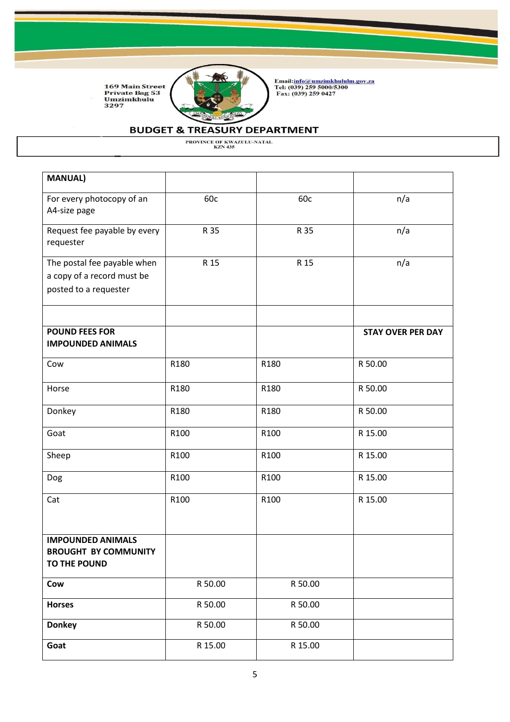

Email:<u>info@umzimkhululm.gov.za</u><br>Tel: (039) 259 5000/5300<br>Fax: (039) 259 0427

## **BUDGET & TREASURY DEPARTMENT**

| <b>MANUAL)</b>                                                                     |         |         |                          |
|------------------------------------------------------------------------------------|---------|---------|--------------------------|
| For every photocopy of an<br>A4-size page                                          | 60c     | 60c     | n/a                      |
| Request fee payable by every<br>requester                                          | R 35    | R 35    | n/a                      |
| The postal fee payable when<br>a copy of a record must be<br>posted to a requester | R 15    | R 15    | n/a                      |
| <b>POUND FEES FOR</b><br><b>IMPOUNDED ANIMALS</b>                                  |         |         | <b>STAY OVER PER DAY</b> |
| Cow                                                                                | R180    | R180    | R 50.00                  |
| Horse                                                                              | R180    | R180    | R 50.00                  |
| Donkey                                                                             | R180    | R180    | R 50.00                  |
| Goat                                                                               | R100    | R100    | R 15.00                  |
| Sheep                                                                              | R100    | R100    | R 15.00                  |
| Dog                                                                                | R100    | R100    | R 15.00                  |
| Cat                                                                                | R100    | R100    | R 15.00                  |
| <b>IMPOUNDED ANIMALS</b><br><b>BROUGHT BY COMMUNITY</b><br>TO THE POUND            |         |         |                          |
| Cow                                                                                | R 50.00 | R 50.00 |                          |
| <b>Horses</b>                                                                      | R 50.00 | R 50.00 |                          |
| <b>Donkey</b>                                                                      | R 50.00 | R 50.00 |                          |
| Goat                                                                               | R 15.00 | R 15.00 |                          |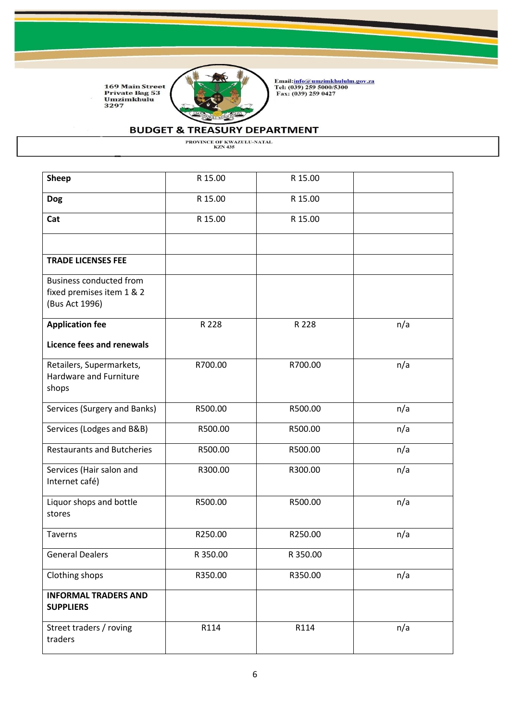

Email:<u>info@umzimkhululm.gov.za</u><br>Tel: (039) 259 5000/5300<br>Fax: (039) 259 0427

# **BUDGET & TREASURY DEPARTMENT**

| <b>Sheep</b>                                                                  | R 15.00  | R 15.00  |     |
|-------------------------------------------------------------------------------|----------|----------|-----|
| <b>Dog</b>                                                                    | R 15.00  | R 15.00  |     |
| Cat                                                                           | R 15.00  | R 15.00  |     |
|                                                                               |          |          |     |
| <b>TRADE LICENSES FEE</b>                                                     |          |          |     |
| <b>Business conducted from</b><br>fixed premises item 1 & 2<br>(Bus Act 1996) |          |          |     |
| <b>Application fee</b>                                                        | R 228    | R 228    | n/a |
| <b>Licence fees and renewals</b>                                              |          |          |     |
| Retailers, Supermarkets,<br>Hardware and Furniture<br>shops                   | R700.00  | R700.00  | n/a |
| Services (Surgery and Banks)                                                  | R500.00  | R500.00  | n/a |
| Services (Lodges and B&B)                                                     | R500.00  | R500.00  | n/a |
| <b>Restaurants and Butcheries</b>                                             | R500.00  | R500.00  | n/a |
| Services (Hair salon and<br>Internet café)                                    | R300.00  | R300.00  | n/a |
| Liquor shops and bottle<br>stores                                             | R500.00  | R500.00  | n/a |
| Taverns                                                                       | R250.00  | R250.00  | n/a |
| <b>General Dealers</b>                                                        | R 350.00 | R 350.00 |     |
| Clothing shops                                                                | R350.00  | R350.00  | n/a |
| <b>INFORMAL TRADERS AND</b><br><b>SUPPLIERS</b>                               |          |          |     |
| Street traders / roving<br>traders                                            | R114     | R114     | n/a |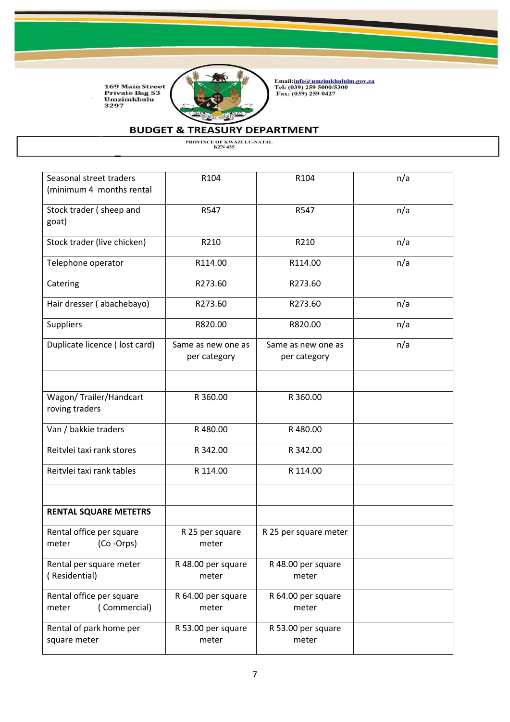

Email:<u>info@umzimkhululm.gov.za</u><br>Tel: (039) 259 5000/5300<br>Fax: (039) 259 0427

# **BUDGET & TREASURY DEPARTMENT**

| Seasonal street traders<br>(minimum 4 months rental | R104                               | R104                               | n/a |
|-----------------------------------------------------|------------------------------------|------------------------------------|-----|
| Stock trader (sheep and<br>goat)                    | R547                               | R547                               | n/a |
| Stock trader (live chicken)                         | R210                               | R210                               | n/a |
| Telephone operator                                  | R114.00                            | R114.00                            | n/a |
| Catering                                            | R273.60                            | R273.60                            |     |
| Hair dresser (abachebayo)                           | R273.60                            | R273.60                            | n/a |
| <b>Suppliers</b>                                    | R820.00                            | R820.00                            | n/a |
| Duplicate licence (lost card)                       | Same as new one as<br>per category | Same as new one as<br>per category | n/a |
|                                                     |                                    |                                    |     |
| Wagon/ Trailer/Handcart<br>roving traders           | R 360.00                           | R 360.00                           |     |
| Van / bakkie traders                                | R480.00                            | R480.00                            |     |
| Reitvlei taxi rank stores                           | R 342.00                           | R 342.00                           |     |
| Reitvlei taxi rank tables                           | R 114.00                           | R 114.00                           |     |
|                                                     |                                    |                                    |     |
| <b>RENTAL SQUARE METETRS</b>                        |                                    |                                    |     |
| Rental office per square<br>(Co-Orps)<br>meter      | R 25 per square<br>meter           | R 25 per square meter              |     |
| Rental per square meter<br>(Residential)            | R 48.00 per square<br>meter        | R 48.00 per square<br>meter        |     |
| Rental office per square<br>(Commercial)<br>meter   | R 64.00 per square<br>meter        | R 64.00 per square<br>meter        |     |
| Rental of park home per<br>square meter             | R 53.00 per square<br>meter        | R 53.00 per square<br>meter        |     |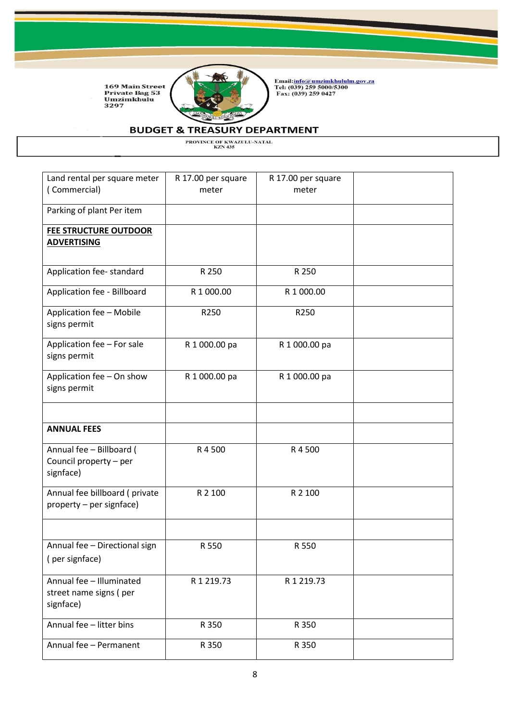

Email:<u>info@umzimkhululm.gov.za</u><br>Tel: (039) 259 5000/5300<br>Fax: (039) 259 0427

## **BUDGET & TREASURY DEPARTMENT**

| Land rental per square meter<br>(Commercial)                    | R 17.00 per square<br>meter | R 17.00 per square<br>meter |  |
|-----------------------------------------------------------------|-----------------------------|-----------------------------|--|
| Parking of plant Per item                                       |                             |                             |  |
| <b>FEE STRUCTURE OUTDOOR</b><br><b>ADVERTISING</b>              |                             |                             |  |
| Application fee-standard                                        | R 250                       | R 250                       |  |
| Application fee - Billboard                                     | R 1 000.00                  | R 1 000.00                  |  |
| Application fee - Mobile<br>signs permit                        | R250                        | R250                        |  |
| Application fee - For sale<br>signs permit                      | R 1 000.00 pa               | R 1 000.00 pa               |  |
| Application fee - On show<br>signs permit                       | R 1 000.00 pa               | R 1 000.00 pa               |  |
| <b>ANNUAL FEES</b>                                              |                             |                             |  |
| Annual fee - Billboard (<br>Council property - per<br>signface) | R 4 500                     | R 4 500                     |  |
| Annual fee billboard (private<br>property – per signface)       | R 2 100                     | R 2 100                     |  |
|                                                                 |                             |                             |  |
| Annual fee - Directional sign<br>(per signface)                 | R 550                       | R 550                       |  |
| Annual fee - Illuminated<br>street name signs (per<br>signface) | R 1 219.73                  | R 1 219.73                  |  |
| Annual fee - litter bins                                        | R 350                       | R 350                       |  |
| Annual fee - Permanent                                          | R 350                       | R 350                       |  |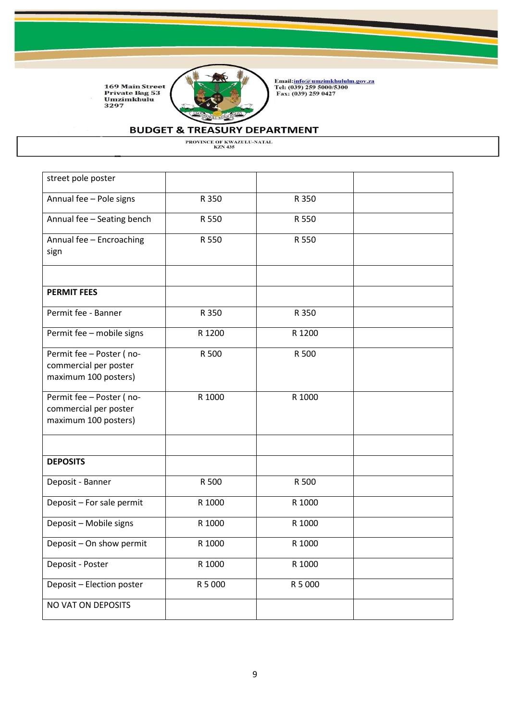

Email:<u>info@umzimkhululm.gov.za</u><br>Tel: (039) 259 5000/5300<br>Fax: (039) 259 0427

## **BUDGET & TREASURY DEPARTMENT**

| street pole poster         |         |         |  |
|----------------------------|---------|---------|--|
| Annual fee - Pole signs    | R 350   | R 350   |  |
|                            |         |         |  |
| Annual fee - Seating bench | R 550   | R 550   |  |
| Annual fee - Encroaching   | R 550   | R 550   |  |
| sign                       |         |         |  |
|                            |         |         |  |
| <b>PERMIT FEES</b>         |         |         |  |
| Permit fee - Banner        | R 350   | R 350   |  |
| Permit fee - mobile signs  | R 1200  | R 1200  |  |
| Permit fee - Poster (no-   | R 500   | R 500   |  |
| commercial per poster      |         |         |  |
| maximum 100 posters)       |         |         |  |
| Permit fee - Poster (no-   | R 1000  | R 1000  |  |
| commercial per poster      |         |         |  |
| maximum 100 posters)       |         |         |  |
|                            |         |         |  |
| <b>DEPOSITS</b>            |         |         |  |
| Deposit - Banner           | R 500   | R 500   |  |
| Deposit - For sale permit  | R 1000  | R 1000  |  |
| Deposit - Mobile signs     | R 1000  | R 1000  |  |
| Deposit - On show permit   | R 1000  | R 1000  |  |
| Deposit - Poster           | R 1000  | R 1000  |  |
| Deposit - Election poster  | R 5 000 | R 5 000 |  |
| NO VAT ON DEPOSITS         |         |         |  |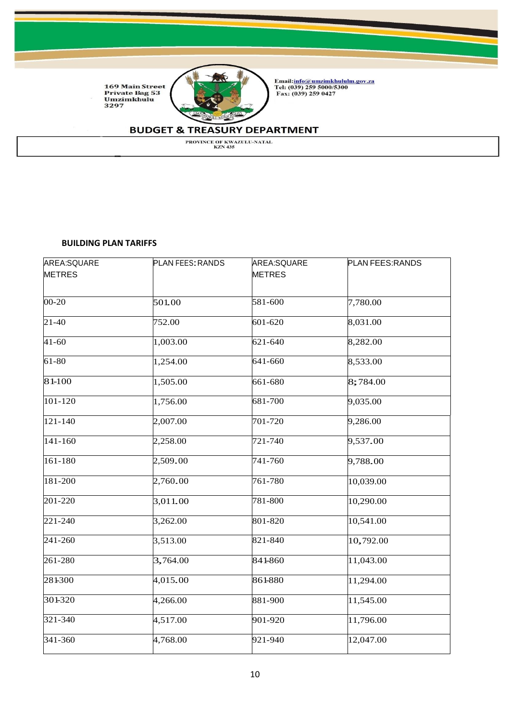

Email:<u>info@umzimkhululm.gov.za</u><br>Tel: (039) 259 5000/5300<br>Fax: (039) 259 0427

# **BUDGET & TREASURY DEPARTMENT**

PROVINCE OF KWAZULU-NATAL<br>KZN 435

#### **BUILDING PLAN TARIFFS**

| AREA:SQUARE   | <b>PLAN FEES: RANDS</b> | AREA:SQUARE   | PLAN FEES: RANDS |
|---------------|-------------------------|---------------|------------------|
| <b>METRES</b> |                         | <b>METRES</b> |                  |
| $00 - 20$     | 501.00                  | 581-600       | 7,780.00         |
| $21 - 40$     | 752.00                  | 601-620       | 8,031.00         |
| $41 - 60$     | 1,003.00                | 621-640       | 8,282.00         |
| 61-80         | 1,254.00                | 641-660       | 8,533.00         |
| 81-100        | 1,505.00                | 661-680       | 8;784.00         |
| 101-120       | 1,756.00                | 681-700       | 9,035.00         |
| 121-140       | 2,007.00                | 701-720       | 9,286.00         |
| 141-160       | 2,258.00                | 721-740       | 9,537.00         |
| 161-180       | 2,509.00                | 741-760       | 9,788.00         |
| 181-200       | 2,760.00                | 761-780       | 10,039.00        |
| 201-220       | 3,011.00                | 781-800       | 10,290.00        |
| 221-240       | 3,262.00                | 801-820       | 10,541.00        |
| 241-260       | 3,513.00                | 821-840       | 10,792.00        |
| 261-280       | 3,764.00                | 841-860       | 11,043.00        |
| 281300        | 4,015.00                | 861-880       | 11,294.00        |
| 301-320       | 4,266.00                | 881-900       | 11,545.00        |
| $321 - 340$   | 4,517.00                | 901-920       | 11,796.00        |
| 341-360       | 4,768.00                | 921-940       | 12,047.00        |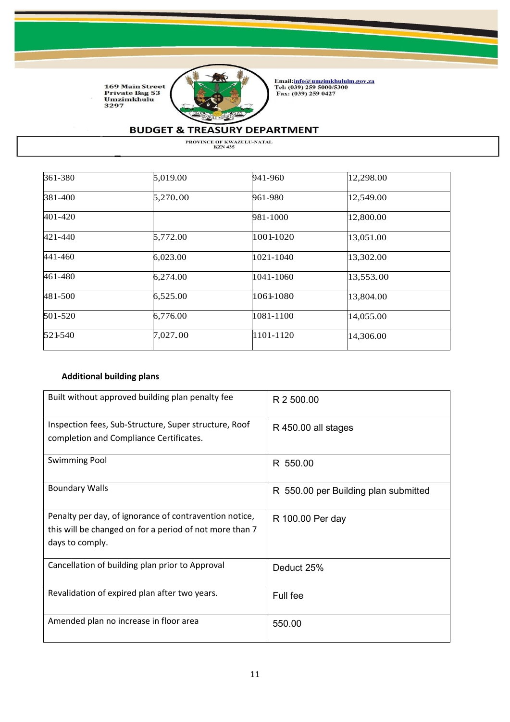

Email:<u>info@umzimkhululm.gov.za</u><br>Tel: (039) 259 5000/5300<br>Fax: (039) 259 0427

# **BUDGET & TREASURY DEPARTMENT**

PROVINCE OF KWAZULU-NATAL<br>KZN 435

| 361-380 | 5,019.00 | 941-960   | 12,298.00 |
|---------|----------|-----------|-----------|
| 381-400 | 5,270.00 | 961-980   | 12,549.00 |
| 401-420 |          | 981-1000  | 12,800.00 |
| 421-440 | 5,772.00 | 1001-1020 | 13,051.00 |
| 441-460 | 6,023.00 | 1021-1040 | 13,302.00 |
| 461-480 | 6,274.00 | 1041-1060 | 13,553.00 |
| 481-500 | 6,525.00 | 1061-1080 | 13,804.00 |
| 501-520 | 6,776.00 | 1081-1100 | 14,055.00 |
| 521-540 | 7,027.00 | 1101-1120 | 14,306.00 |

### **Additional building plans**

| Built without approved building plan penalty fee                                                                                     | R 2 500.00                           |
|--------------------------------------------------------------------------------------------------------------------------------------|--------------------------------------|
| Inspection fees, Sub-Structure, Super structure, Roof<br>completion and Compliance Certificates.                                     | R 450.00 all stages                  |
| <b>Swimming Pool</b>                                                                                                                 | R 550.00                             |
| <b>Boundary Walls</b>                                                                                                                | R 550.00 per Building plan submitted |
| Penalty per day, of ignorance of contravention notice,<br>this will be changed on for a period of not more than 7<br>days to comply. | R 100.00 Per day                     |
| Cancellation of building plan prior to Approval                                                                                      | Deduct 25%                           |
| Revalidation of expired plan after two years.                                                                                        | Full fee                             |
| Amended plan no increase in floor area                                                                                               | 550.00                               |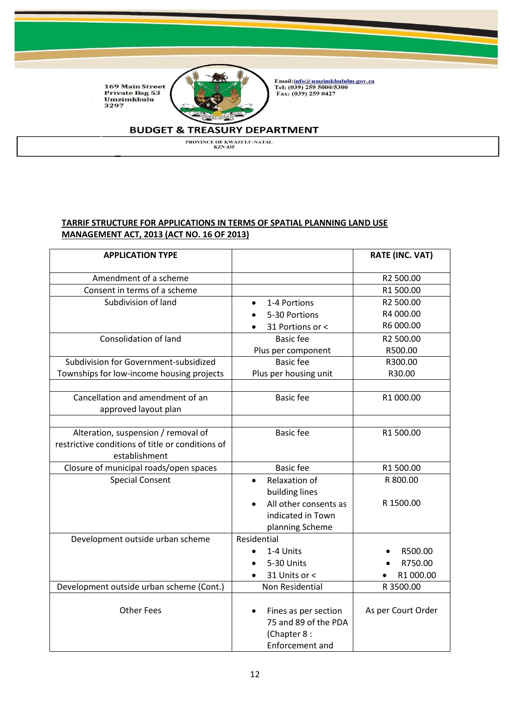

Email:<u>info@umzimkhululm.gov.za</u><br>Tel: (039) 259 5000/5300<br>Fax: (039) 259 0427

### **BUDGET & TREASURY DEPARTMENT**

PROVINCE OF KWAZULU-NATAL<br>KZN 435

### **TARRIF STRUCTURE FOR APPLICATIONS IN TERMS OF SPATIAL PLANNING LAND USE MANAGEMENT ACT, 2013 (ACT NO. 16 OF 2013)**

| <b>APPLICATION TYPE</b>                          |                                                                                | <b>RATE (INC. VAT)</b> |
|--------------------------------------------------|--------------------------------------------------------------------------------|------------------------|
| Amendment of a scheme                            |                                                                                | R2 500.00              |
| Consent in terms of a scheme                     |                                                                                | R1 500.00              |
| Subdivision of land                              | 1-4 Portions                                                                   | R2 500.00              |
|                                                  | 5-30 Portions                                                                  | R4 000.00              |
|                                                  | 31 Portions or <                                                               | R6 000.00              |
| <b>Consolidation of land</b>                     | <b>Basic fee</b>                                                               | R2 500.00              |
|                                                  | Plus per component                                                             | R500.00                |
| Subdivision for Government-subsidized            | <b>Basic fee</b>                                                               | R300.00                |
| Townships for low-income housing projects        | Plus per housing unit                                                          | R30.00                 |
|                                                  |                                                                                |                        |
| Cancellation and amendment of an                 | <b>Basic fee</b>                                                               | R1 000.00              |
| approved layout plan                             |                                                                                |                        |
|                                                  |                                                                                |                        |
| Alteration, suspension / removal of              | <b>Basic fee</b>                                                               | R1 500.00              |
| restrictive conditions of title or conditions of |                                                                                |                        |
| establishment                                    |                                                                                |                        |
| Closure of municipal roads/open spaces           | <b>Basic fee</b>                                                               | R1 500.00              |
| <b>Special Consent</b>                           | <b>Relaxation of</b>                                                           | R 800.00               |
|                                                  | building lines                                                                 |                        |
|                                                  | All other consents as                                                          | R 1500.00              |
|                                                  | indicated in Town                                                              |                        |
|                                                  | planning Scheme                                                                |                        |
| Development outside urban scheme                 | Residential                                                                    |                        |
|                                                  | 1-4 Units                                                                      | R500.00                |
|                                                  | 5-30 Units                                                                     | R750.00                |
|                                                  | 31 Units or <                                                                  | R1 000.00              |
| Development outside urban scheme (Cont.)         | Non Residential                                                                | R 3500.00              |
| <b>Other Fees</b>                                | Fines as per section<br>75 and 89 of the PDA<br>(Chapter 8:<br>Enforcement and | As per Court Order     |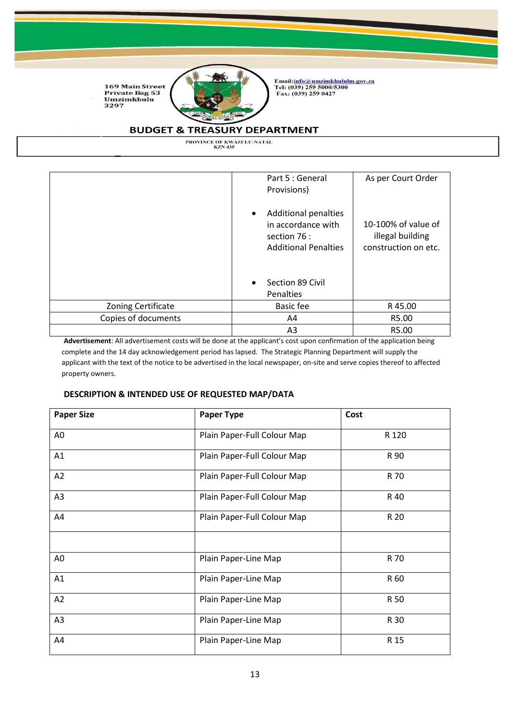

Email:<u>info@umzimkhululm.gov.za</u><br>Tel: (039) 259 5000/5300<br>Fax: (039) 259 0427

### **BUDGET & TREASURY DEPARTMENT**

PROVINCE OF KWAZULU-NATAL<br>KZN 435

|                     | Part 5 : General<br>Provisions)                                                                  | As per Court Order                                              |
|---------------------|--------------------------------------------------------------------------------------------------|-----------------------------------------------------------------|
|                     | <b>Additional penalties</b><br>in accordance with<br>section 76 :<br><b>Additional Penalties</b> | 10-100% of value of<br>illegal building<br>construction on etc. |
|                     | Section 89 Civil<br>Penalties                                                                    |                                                                 |
| Zoning Certificate  | Basic fee                                                                                        | R 45.00                                                         |
| Copies of documents | A4                                                                                               | R5.00                                                           |
|                     | A <sub>3</sub>                                                                                   | R5.00                                                           |

**Advertisement**: All advertisement costs will be done at the applicant's cost upon confirmation of the application being complete and the 14 day acknowledgement period has lapsed. The Strategic Planning Department will supply the applicant with the text of the notice to be advertised in the local newspaper, on-site and serve copies thereof to affected property owners.

#### **DESCRIPTION & INTENDED USE OF REQUESTED MAP/DATA**

| <b>Paper Size</b> | Paper Type                  | Cost  |
|-------------------|-----------------------------|-------|
| A <sub>0</sub>    | Plain Paper-Full Colour Map | R 120 |
| A1                | Plain Paper-Full Colour Map | R 90  |
| A2                | Plain Paper-Full Colour Map | R 70  |
| A <sub>3</sub>    | Plain Paper-Full Colour Map | R 40  |
| A4                | Plain Paper-Full Colour Map | R 20  |
|                   |                             |       |
| A <sub>0</sub>    | Plain Paper-Line Map        | R 70  |
| A1                | Plain Paper-Line Map        | R 60  |
| A2                | Plain Paper-Line Map        | R 50  |
| A <sub>3</sub>    | Plain Paper-Line Map        | R 30  |
| A4                | Plain Paper-Line Map        | R 15  |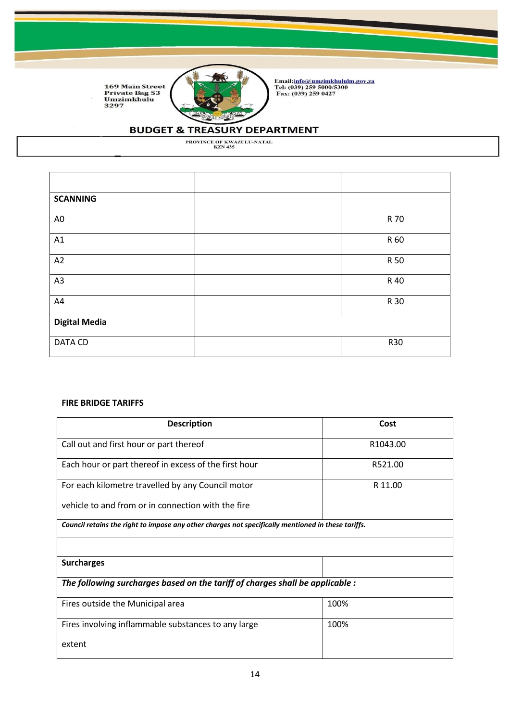

Email:<u>info@umzimkhululm.gov.za</u><br>Tel: (039) 259 5000/5300<br>Fax: (039) 259 0427

## **BUDGET & TREASURY DEPARTMENT**

PROVINCE OF KWAZULU-NATAL<br>KZN 435

| <b>SCANNING</b>      |            |
|----------------------|------------|
|                      |            |
| A <sub>0</sub>       | R 70       |
|                      |            |
| A1                   | R 60       |
|                      |            |
| A2                   | R 50       |
|                      |            |
| A3                   | R 40       |
|                      |            |
| A4                   | R 30       |
|                      |            |
| <b>Digital Media</b> |            |
|                      |            |
| <b>DATA CD</b>       | <b>R30</b> |
|                      |            |

#### **FIRE BRIDGE TARIFFS**

| <b>Description</b>                                                                                 | Cost                 |  |
|----------------------------------------------------------------------------------------------------|----------------------|--|
| Call out and first hour or part thereof                                                            | R <sub>1043.00</sub> |  |
| Each hour or part thereof in excess of the first hour                                              | R521.00              |  |
| For each kilometre travelled by any Council motor                                                  | R 11.00              |  |
| vehicle to and from or in connection with the fire                                                 |                      |  |
| Council retains the right to impose any other charges not specifically mentioned in these tariffs. |                      |  |
|                                                                                                    |                      |  |
| <b>Surcharges</b>                                                                                  |                      |  |
| The following surcharges based on the tariff of charges shall be applicable :                      |                      |  |
| Fires outside the Municipal area                                                                   | 100%                 |  |
| Fires involving inflammable substances to any large                                                | 100%                 |  |
| extent                                                                                             |                      |  |